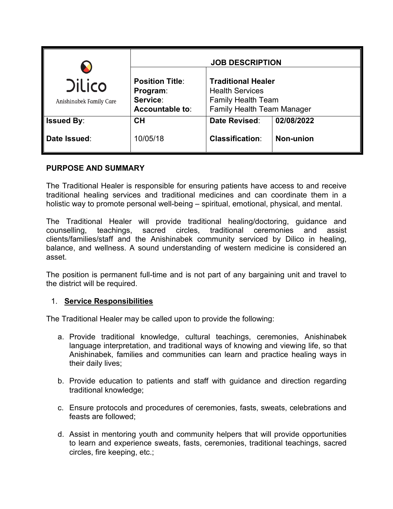|                                          |                                                                   | <b>JOB DESCRIPTION</b>                                                                                                |                                |
|------------------------------------------|-------------------------------------------------------------------|-----------------------------------------------------------------------------------------------------------------------|--------------------------------|
| <b>Dilico</b><br>Anishinabek Family Care | <b>Position Title:</b><br>Program:<br>Service:<br>Accountable to: | <b>Traditional Healer</b><br><b>Health Services</b><br><b>Family Health Team</b><br><b>Family Health Team Manager</b> |                                |
| <b>Issued By:</b><br>Date Issued:        | <b>CH</b><br>10/05/18                                             | Date Revised:<br><b>Classification:</b>                                                                               | 02/08/2022<br><b>Non-union</b> |

## **PURPOSE AND SUMMARY**

The Traditional Healer is responsible for ensuring patients have access to and receive traditional healing services and traditional medicines and can coordinate them in a holistic way to promote personal well-being – spiritual, emotional, physical, and mental.

The Traditional Healer will provide traditional healing/doctoring, guidance and counselling, teachings, sacred circles, traditional ceremonies and assist clients/families/staff and the Anishinabek community serviced by Dilico in healing, balance, and wellness. A sound understanding of western medicine is considered an asset.

The position is permanent full-time and is not part of any bargaining unit and travel to the district will be required.

# 1. **Service Responsibilities**

The Traditional Healer may be called upon to provide the following:

- a. Provide traditional knowledge, cultural teachings, ceremonies, Anishinabek language interpretation, and traditional ways of knowing and viewing life, so that Anishinabek, families and communities can learn and practice healing ways in their daily lives;
- b. Provide education to patients and staff with guidance and direction regarding traditional knowledge;
- c. Ensure protocols and procedures of ceremonies, fasts, sweats, celebrations and feasts are followed;
- d. Assist in mentoring youth and community helpers that will provide opportunities to learn and experience sweats, fasts, ceremonies, traditional teachings, sacred circles, fire keeping, etc.;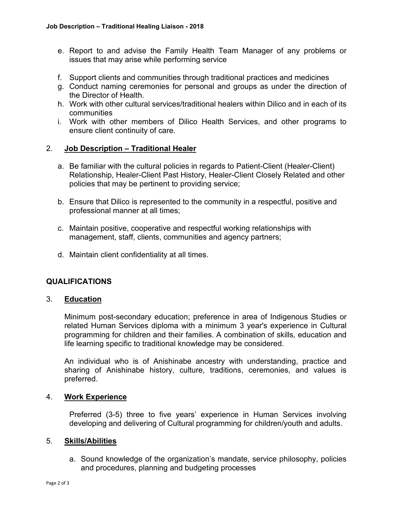- e. Report to and advise the Family Health Team Manager of any problems or issues that may arise while performing service
- f. Support clients and communities through traditional practices and medicines
- g. Conduct naming ceremonies for personal and groups as under the direction of the Director of Health.
- h. Work with other cultural services/traditional healers within Dilico and in each of its communities
- i. Work with other members of Dilico Health Services, and other programs to ensure client continuity of care.

## 2. **Job Description – Traditional Healer**

- a. Be familiar with the cultural policies in regards to Patient-Client (Healer-Client) Relationship, Healer-Client Past History, Healer-Client Closely Related and other policies that may be pertinent to providing service;
- b. Ensure that Dilico is represented to the community in a respectful, positive and professional manner at all times;
- c. Maintain positive, cooperative and respectful working relationships with management, staff, clients, communities and agency partners;
- d. Maintain client confidentiality at all times.

# **QUALIFICATIONS**

### 3. **Education**

Minimum post-secondary education; preference in area of Indigenous Studies or related Human Services diploma with a minimum 3 year's experience in Cultural programming for children and their families. A combination of skills, education and life learning specific to traditional knowledge may be considered.

An individual who is of Anishinabe ancestry with understanding, practice and sharing of Anishinabe history, culture, traditions, ceremonies, and values is preferred.

### 4. **Work Experience**

Preferred (3-5) three to five years' experience in Human Services involving developing and delivering of Cultural programming for children/youth and adults.

### 5. **Skills/Abilities**

a. Sound knowledge of the organization's mandate, service philosophy, policies and procedures, planning and budgeting processes